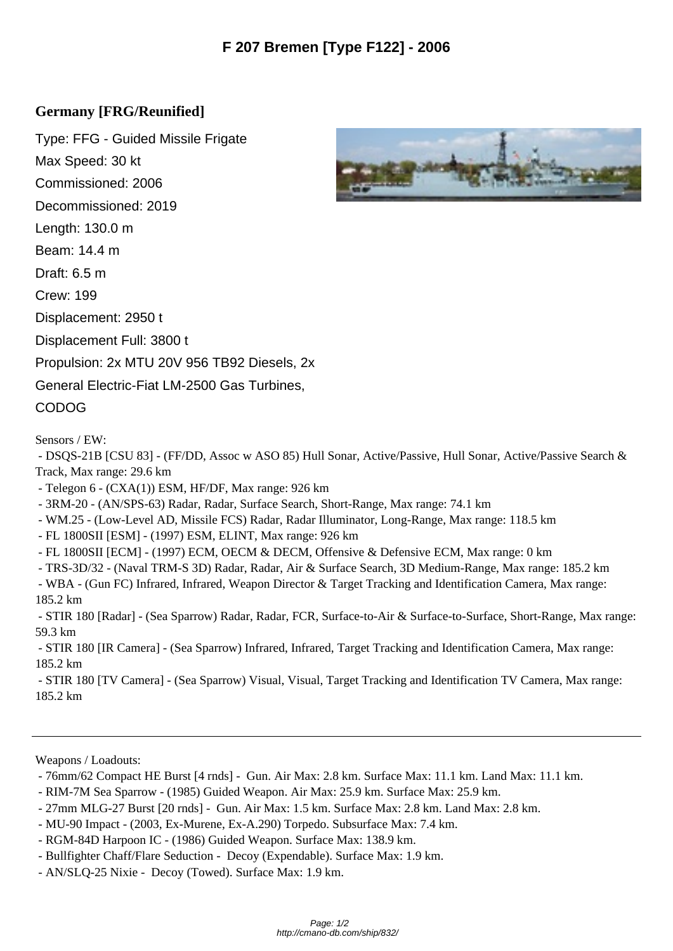## **Germany [FRG/Reunified]**

Type: FFG - Guided Missile Frigate Max Speed: 30 kt Commissioned: 2006 Decommissioned: 2019 Length: 130.0 m Beam: 14.4 m Draft: 6.5 m Crew: 199 Displacement: 2950 t Displacement Full: 3800 t Propulsion: 2x MTU 20V 956 TB92 Diesels, 2x General Electric-Fiat LM-2500 Gas Turbines, CODOG

Sensors / EW:

 - DSQS-21B [CSU 83] - (FF/DD, Assoc w ASO 85) Hull Sonar, Active/Passive, Hull Sonar, Active/Passive Search & Track, Max range: 29.6 km

- Telegon 6 - (CXA(1)) ESM, HF/DF, Max range: 926 km

- 3RM-20 - (AN/SPS-63) Radar, Radar, Surface Search, Short-Range, Max range: 74.1 km

- WM.25 (Low-Level AD, Missile FCS) Radar, Radar Illuminator, Long-Range, Max range: 118.5 km
- FL 1800SII [ESM] (1997) ESM, ELINT, Max range: 926 km

- FL 1800SII [ECM] - (1997) ECM, OECM & DECM, Offensive & Defensive ECM, Max range: 0 km

- TRS-3D/32 - (Naval TRM-S 3D) Radar, Radar, Air & Surface Search, 3D Medium-Range, Max range: 185.2 km

 - WBA - (Gun FC) Infrared, Infrared, Weapon Director & Target Tracking and Identification Camera, Max range: 185.2 km

 - STIR 180 [Radar] - (Sea Sparrow) Radar, Radar, FCR, Surface-to-Air & Surface-to-Surface, Short-Range, Max range: 59.3 km

 - STIR 180 [IR Camera] - (Sea Sparrow) Infrared, Infrared, Target Tracking and Identification Camera, Max range: 185.2 km

 - STIR 180 [TV Camera] - (Sea Sparrow) Visual, Visual, Target Tracking and Identification TV Camera, Max range: 185.2 km

Weapons / Loadouts:

- 76mm/62 Compact HE Burst [4 rnds] Gun. Air Max: 2.8 km. Surface Max: 11.1 km. Land Max: 11.1 km.
- RIM-7M Sea Sparrow (1985) Guided Weapon. Air Max: 25.9 km. Surface Max: 25.9 km.
- 27mm MLG-27 Burst [20 rnds] Gun. Air Max: 1.5 km. Surface Max: 2.8 km. Land Max: 2.8 km.
- MU-90 Impact (2003, Ex-Murene, Ex-A.290) Torpedo. Subsurface Max: 7.4 km.
- RGM-84D Harpoon IC (1986) Guided Weapon. Surface Max: 138.9 km.
- Bullfighter Chaff/Flare Seduction Decoy (Expendable). Surface Max: 1.9 km.
- AN/SLQ-25 Nixie Decoy (Towed). Surface Max: 1.9 km.